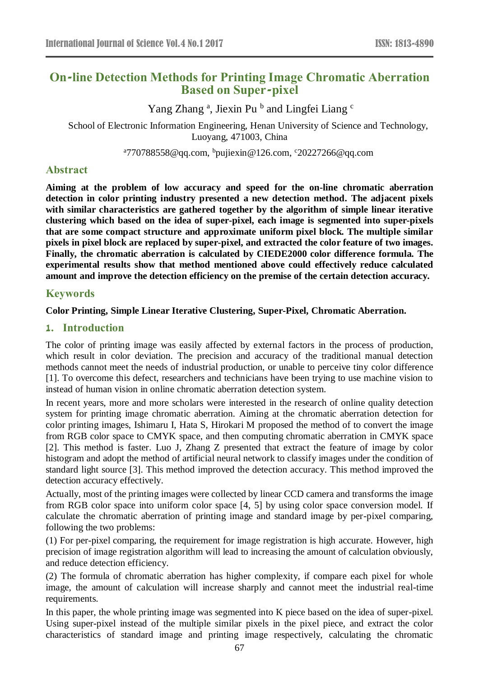# **On-line Detection Methods for Printing Image Chromatic Aberration Based on Super-pixel**

Yang Zhang<sup>a</sup>, Jiexin Pu<sup>b</sup> and Lingfei Liang<sup>c</sup>

School of Electronic Information Engineering, Henan University of Science and Technology, Luoyang, 471003, China

<sup>a</sup>770788558@qq.com, <sup>b</sup>pujiexin@126.com, °20227266@qq.com

# **Abstract**

**Aiming at the problem of low accuracy and speed for the on-line chromatic aberration detection in color printing industry presented a new detection method. The adjacent pixels with similar characteristics are gathered together by the algorithm of simple linear iterative clustering which based on the idea of super-pixel, each image is segmented into super-pixels that are some compact structure and approximate uniform pixel block. The multiple similar pixels in pixel block are replaced by super-pixel, and extracted the color feature of two images. Finally, the chromatic aberration is calculated by CIEDE2000 color difference formula. The experimental results show that method mentioned above could effectively reduce calculated amount and improve the detection efficiency on the premise of the certain detection accuracy.**

# **Keywords**

**Color Printing, Simple Linear Iterative Clustering, Super-Pixel, Chromatic Aberration.**

# **1. Introduction**

The color of printing image was easily affected by external factors in the process of production, which result in color deviation. The precision and accuracy of the traditional manual detection methods cannot meet the needs of industrial production, or unable to perceive tiny color difference [1]. To overcome this defect, researchers and technicians have been trying to use machine vision to instead of human vision in online chromatic aberration detection system.

In recent years, more and more scholars were interested in the research of online quality detection system for printing image chromatic aberration. Aiming at the chromatic aberration detection for color printing images, Ishimaru I, Hata S, Hirokari M proposed the method of to convert the image from RGB color space to CMYK space, and then computing chromatic aberration in CMYK space [2]. This method is faster. Luo J, Zhang Z presented that extract the feature of image by color histogram and adopt the method of artificial neural network to classify images under the condition of standard light source [3]. This method improved the detection accuracy. This method improved the detection accuracy effectively.

Actually, most of the printing images were collected by linear CCD camera and transforms the image from RGB color space into uniform color space [4, 5] by using color space conversion model. If calculate the chromatic aberration of printing image and standard image by per-pixel comparing, following the two problems:

(1) For per-pixel comparing, the requirement for image registration is high accurate. However, high precision of image registration algorithm will lead to increasing the amount of calculation obviously, and reduce detection efficiency.

(2) The formula of chromatic aberration has higher complexity, if compare each pixel for whole image, the amount of calculation will increase sharply and cannot meet the industrial real-time requirements.

In this paper, the whole printing image was segmented into K piece based on the idea of super-pixel. Using super-pixel instead of the multiple similar pixels in the pixel piece, and extract the color characteristics of standard image and printing image respectively, calculating the chromatic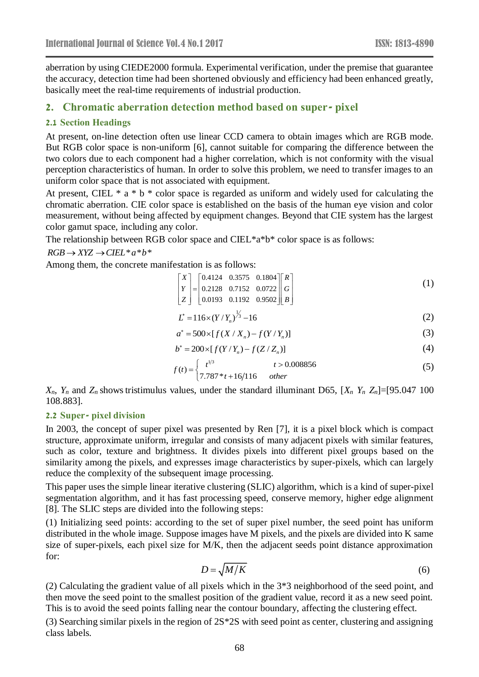aberration by using CIEDE2000 formula. Experimental verification, under the premise that guarantee the accuracy, detection time had been shortened obviously and efficiency had been enhanced greatly, basically meet the real-time requirements of industrial production.

# **2. Chromatic aberration detection method based on super- pixel**

### **2.1 Section Headings**

At present, on-line detection often use linear CCD camera to obtain images which are RGB mode. But RGB color space is non-uniform [6], cannot suitable for comparing the difference between the two colors due to each component had a higher correlation, which is not conformity with the visual perception characteristics of human. In order to solve this problem, we need to transfer images to an uniform color space that is not associated with equipment.

At present, CIEL  $* a * b * color space is regarded as uniform and widely used for calculating the$ chromatic aberration. CIE color space is established on the basis of the human eye vision and color measurement, without being affected by equipment changes. Beyond that CIE system has the largest color gamut space, including any color.

The relationship between RGB color space and CIEL\*a\*b\* color space is as follows:

### $RGB \rightarrow XYZ \rightarrow CIEL^*a^*b^*$

Among them, the concrete manifestation is as follows:

$$
\begin{bmatrix} X \ Y \ Z \end{bmatrix} = \begin{bmatrix} 0.4124 & 0.3575 & 0.1804 \\ 0.2128 & 0.7152 & 0.0722 \\ 0.0193 & 0.1192 & 0.9502 \end{bmatrix} \begin{bmatrix} R \\ G \\ B \end{bmatrix}
$$
 (1)

$$
L^* = 116 \times (Y/Y_n)^{\frac{1}{3}} - 16 \tag{2}
$$

$$
a^* = 500 \times [f(X / X_n) - f(Y / Y_n)] \tag{3}
$$

$$
b^* = 200 \times [f(Y/Y_n) - f(Z/Z_n)] \tag{4}
$$

$$
f(t) = \begin{cases} t^{1/3} & t > 0.008856\\ 7.787 * t + 16/116 & other \end{cases}
$$
 (5)

 $X_n$ ,  $Y_n$  and  $Z_n$  shows tristimulus values, under the standard illuminant D65,  $[X_n Y_n Z_n] = [95.047 \; 100$ 108.883].

#### **2.2 Super- pixel division**

In 2003, the concept of super pixel was presented by Ren [7], it is a pixel block which is compact structure, approximate uniform, irregular and consists of many adjacent pixels with similar features, such as color, texture and brightness. It divides pixels into different pixel groups based on the similarity among the pixels, and expresses image characteristics by super-pixels, which can largely reduce the complexity of the subsequent image processing.

This paper uses the simple linear iterative clustering (SLIC) algorithm, which is a kind of super-pixel segmentation algorithm, and it has fast processing speed, conserve memory, higher edge alignment [8]. The SLIC steps are divided into the following steps:

(1) Initializing seed points: according to the set of super pixel number, the seed point has uniform distributed in the whole image. Suppose images have M pixels, and the pixels are divided into K same size of super-pixels, each pixel size for M/K, then the adjacent seeds point distance approximation for:

$$
D = \sqrt{M/K} \tag{6}
$$

(2) Calculating the gradient value of all pixels which in the 3\*3 neighborhood of the seed point, and then move the seed point to the smallest position of the gradient value, record it as a new seed point. This is to avoid the seed points falling near the contour boundary, affecting the clustering effect.

(3) Searching similar pixels in the region of 2S\*2S with seed point as center, clustering and assigning class labels.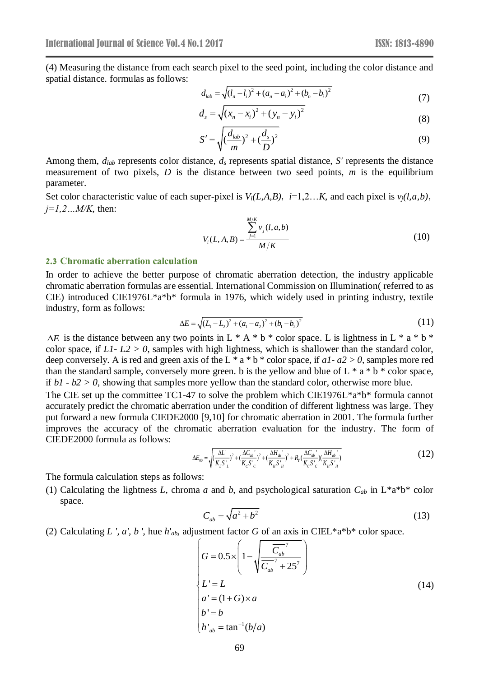(4) Measuring the distance from each search pixel to the seed point, including the color distance and spatial distance. formulas as follows:

$$
d_{lab} = \sqrt{(l_n - l_i)^2 + (a_n - a_i)^2 + (b_n - b_i)^2}
$$
\n(7)

$$
d_s = \sqrt{(x_n - x_i)^2 + (y_n - y_i)^2}
$$
\n(8)

$$
S' = \sqrt{\left(\frac{d_{lab}}{m}\right)^2 + \left(\frac{d_s}{D}\right)^2}
$$
\n(9)

Among them, *dlab* represents color distance, *d<sup>s</sup>* represents spatial distance, *S'* represents the distance measurement of two pixels, *D* is the distance between two seed points, *m* is the equilibrium parameter.

Set color characteristic value of each super-pixel is  $V_i(L, A, B)$ ,  $i=1,2...K$ , and each pixel is  $v_i(l, a, b)$ , *j=1,2…M/K*, then:

$$
V_i(L, A, B) = \frac{\sum_{j=1}^{M/K} v_j(l, a, b)}{M/K}
$$
 (10)

#### **2.3 Chromatic aberration calculation**

In order to achieve the better purpose of chromatic aberration detection, the industry applicable chromatic aberration formulas are essential. International Commission on Illumination( referred to as CIE) introduced CIE1976L\*a\*b\* formula in 1976, which widely used in printing industry, textile industry, form as follows:

$$
\Delta E = \sqrt{\left(L_1 - L_2\right)^2 + \left(a_1 - a_2\right)^2 + \left(b_1 - b_2\right)^2} \tag{11}
$$

 $\Delta E$  is the distance between any two points in L  $* A * b *$  color space. L is lightness in L  $* a * b *$ color space, if  $L1 - L2 > 0$ , samples with high lightness, which is shallower than the standard color, deep conversely. A is red and green axis of the L \* a \* b \* color space, if *a1- a2 > 0*, samples more red than the standard sample, conversely more green. b is the yellow and blue of  $L * a * b *$  color space, if *b1 - b2 > 0*, showing that samples more yellow than the standard color, otherwise more blue.

The CIE set up the committee TC1-47 to solve the problem which CIE1976L\*a\*b\* formula cannot accurately predict the chromatic aberration under the condition of different lightness was large. They put forward a new formula CIEDE2000 [9,10] for chromatic aberration in 2001. The formula further improves the accuracy of the chromatic aberration evaluation for the industry. The form of CIEDE2000 formula as follows:

$$
\Delta E_{00} = \sqrt{\left(\frac{\Delta L^{'}}{K_L S^{'}}_{L}\right)^{2} + \left(\frac{\Delta C_{ab}^{'}}{K_C S^{'}}_{C}\right)^{2} + \left(\frac{\Delta H_{ab}^{'}}{K_H S^{'}}_{H}\right)^{2} + R_r \left(\frac{\Delta C_{ab}^{'}}{K_C S^{'}}_{C} \left(\frac{\Delta H_{ab}^{'}}{K_H S^{'}}\right)\right)}
$$
(12)

The formula calculation steps as follows:

(1) Calculating the lightness *L*, chroma *a* and *b*, and psychological saturation  $C_{ab}$  in L\*a\*b\* color space.

$$
C_{ab} = \sqrt{a^2 + b^2} \tag{13}
$$

(2) Calculating  $L'$ ,  $a'$ ,  $b'$ , hue  $h'_{ab}$ , adjustment factor  $G$  of an axis in CIEL\*a\*b\* color space.

$$
G = 0.5 \times \left(1 - \sqrt{\frac{\overline{C_{ab}}^7}{\overline{C_{ab}}^7} + 25^7}\right)
$$
  
\n
$$
L' = L
$$
  
\n
$$
a' = (1 + G) \times a
$$
  
\n
$$
b' = b
$$
  
\n
$$
h'_{ab} = \tan^{-1}(b/a)
$$
 (14)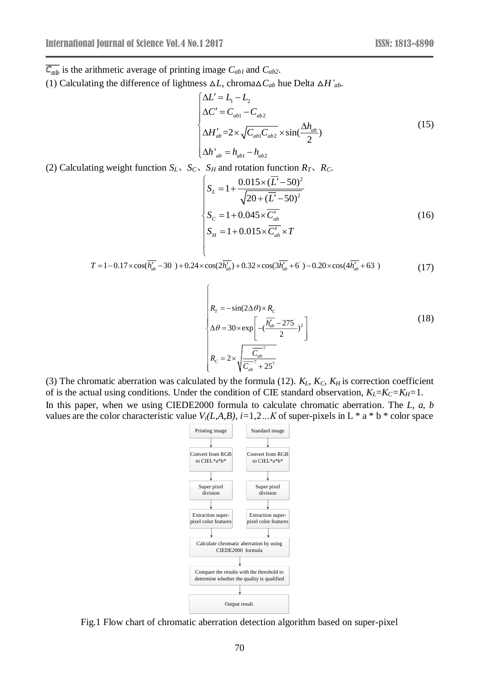$\overline{C_{ab}}$  is the arithmetic average of printing image  $C_{ab1}$  and  $C_{ab2}$ .

(1) Calculating the difference of lightness  $\Delta L$ , chroma $\Delta C_{ab}$  hue Delta  $\Delta H'_{ab}$ .

$$
\begin{cases}\n\Delta L' = L_1 - L_2 \\
\Delta C' = C_{ab1} - C_{ab2} \\
\Delta H'_{ab} = 2 \times \sqrt{C_{ab1} C_{ab2}} \times \sin(\frac{\Delta h_{ab}}{2}) \\
\Delta h'_{ab} = h_{ab1} - h_{ab2}\n\end{cases}
$$
\n(15)

(2) Calculating weight function  $S_L$ ,  $S_C$ ,  $S_H$  and rotation function  $R_T$ ,  $R_C$ .

l

ſ

$$
\begin{cases}\nS_L = 1 + \frac{0.015 \times (\overline{L'} - 50)^2}{\sqrt{20 + (\overline{L'} - 50)^2}} \\
S_C = 1 + 0.045 \times \overline{C'_{ab}} \\
S_H = 1 + 0.015 \times \overline{C'_{ab}} \times T\n\end{cases}
$$
\n(16)

$$
\begin{cases}\nS_H = 1 + 0.015 \times C'_{ab} \times T \\
T = 1 - 0.17 \times \cos(\overline{h'_{ab}} - 30^{\circ}) + 0.24 \times \cos(2\overline{h'_{ab}}) + 0.32 \times \cos(3\overline{h'_{ab}} + 6^{\circ}) - 0.20 \times \cos(4\overline{h'_{ab}} + 6^{\circ})\n\end{cases}
$$
\n(17)

$$
R_r = -\sin(2\Delta\theta) \times R_c
$$
  
\n
$$
\Delta\theta = 30 \times \exp\left[-(\frac{\overline{h'_{ab}} - 275}{2})^2\right]
$$
  
\n
$$
R_c = 2 \times \sqrt{\frac{\overline{C_{ab}}^7}{\overline{C_{ab}}^7} + 25^7}
$$
\n(18)

(3) The chromatic aberration was calculated by the formula (12).  $K_L$ ,  $K_C$ ,  $K_H$  is correction coefficient of is the actual using conditions. Under the condition of CIE standard observation,  $K_L = K_C = K_H = 1$ . In this paper, when we using CIEDE2000 formula to calculate chromatic aberration. The *L*, *a*, *b* values are the color characteristic value  $V_i(L, A, B)$ ,  $i=1,2...K$  of super-pixels in L  $*$  a  $*$  b  $*$  color space



Fig.1 Flow chart of chromatic aberration detection algorithm based on super-pixel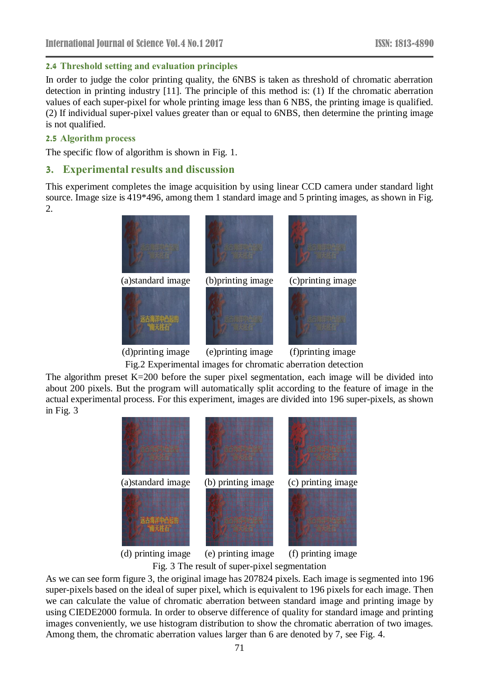### **2.4 Threshold setting and evaluation principles**

In order to judge the color printing quality, the 6NBS is taken as threshold of chromatic aberration detection in printing industry [11]. The principle of this method is: (1) If the chromatic aberration values of each super-pixel for whole printing image less than 6 NBS, the printing image is qualified. (2) If individual super-pixel values greater than or equal to 6NBS, then determine the printing image is not qualified.

#### **2.5 Algorithm process**

The specific flow of algorithm is shown in Fig. 1.

#### **3. Experimental results and discussion**

This experiment completes the image acquisition by using linear CCD camera under standard light source. Image size is 419\*496, among them 1 standard image and 5 printing images, as shown in Fig. 2.



(d)printing image (e)printing image (f)printing image

Fig.2 Experimental images for chromatic aberration detection

The algorithm preset  $K=200$  before the super pixel segmentation, each image will be divided into about 200 pixels. But the program will automatically split according to the feature of image in the actual experimental process. For this experiment, images are divided into 196 super-pixels, as shown in Fig. 3



(d) printing image (e) printing image (f) printing image Fig. 3 The result of super-pixel segmentation

As we can see form figure 3, the original image has 207824 pixels. Each image is segmented into 196 super-pixels based on the ideal of super pixel, which is equivalent to 196 pixels for each image. Then we can calculate the value of chromatic aberration between standard image and printing image by using CIEDE2000 formula. In order to observe difference of quality for standard image and printing images conveniently, we use histogram distribution to show the chromatic aberration of two images. Among them, the chromatic aberration values larger than 6 are denoted by 7, see Fig. 4.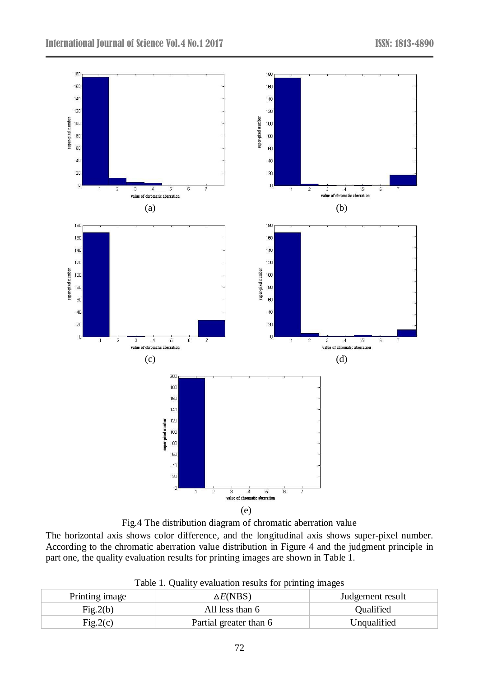

Fig.4 The distribution diagram of chromatic aberration value

The horizontal axis shows color difference, and the longitudinal axis shows super-pixel number. According to the chromatic aberration value distribution in Figure 4 and the judgment principle in part one, the quality evaluation results for printing images are shown in Table 1.

Table 1. Quality evaluation results for printing images

| Printing image | $\triangle E(NBS)$     | Judgement result |  |
|----------------|------------------------|------------------|--|
| Fig.2(b)       | All less than 6        | <b>Oualified</b> |  |
| Fig.2(c)       | Partial greater than 6 | Unqualified      |  |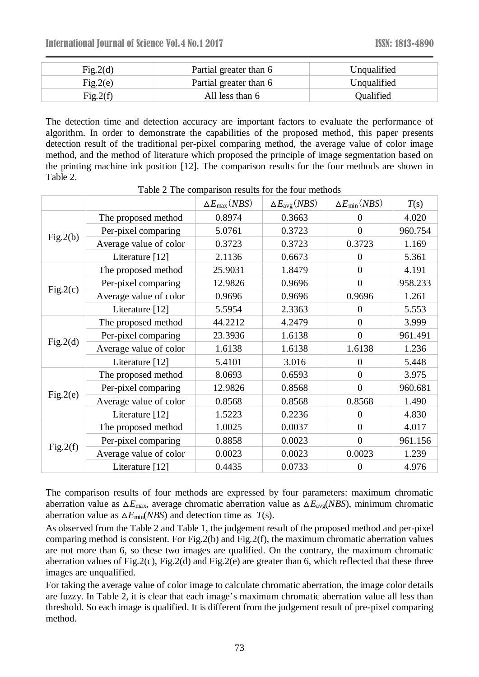| Fig.2(d) | Partial greater than 6 | Unqualified |
|----------|------------------------|-------------|
| Fig.2(e) | Partial greater than 6 | Unqualified |
| Fig.2(f) | All less than 6        | Qualified   |

The detection time and detection accuracy are important factors to evaluate the performance of algorithm. In order to demonstrate the capabilities of the proposed method, this paper presents detection result of the traditional per-pixel comparing method, the average value of color image method, and the method of literature which proposed the principle of image segmentation based on the printing machine ink position [12]. The comparison results for the four methods are shown in Table 2.

|          |                        | $\Delta E_{\rm max}$ (NBS) | $\Delta E_{\text{avg}}$ (NBS) | $\Delta E_{\rm min}(NBS)$ | T(s)    |
|----------|------------------------|----------------------------|-------------------------------|---------------------------|---------|
| Fig.2(b) | The proposed method    | 0.8974                     | 0.3663                        | 0                         | 4.020   |
|          | Per-pixel comparing    | 5.0761                     | 0.3723                        | $\theta$                  | 960.754 |
|          | Average value of color | 0.3723                     | 0.3723                        | 0.3723                    | 1.169   |
|          | Literature [12]        | 2.1136                     | 0.6673                        | $\Omega$                  | 5.361   |
| Fig.2(c) | The proposed method    | 25.9031                    | 1.8479                        | $\overline{0}$            | 4.191   |
|          | Per-pixel comparing    | 12.9826                    | 0.9696                        | $\overline{0}$            | 958.233 |
|          | Average value of color | 0.9696                     | 0.9696                        | 0.9696                    | 1.261   |
|          | Literature [12]        | 5.5954                     | 2.3363                        | $\theta$                  | 5.553   |
| Fig.2(d) | The proposed method    | 44.2212                    | 4.2479                        | $\theta$                  | 3.999   |
|          | Per-pixel comparing    | 23.3936                    | 1.6138                        | $\overline{0}$            | 961.491 |
|          | Average value of color | 1.6138                     | 1.6138                        | 1.6138                    | 1.236   |
|          | Literature [12]        | 5.4101                     | 3.016                         | 0                         | 5.448   |
| Fig.2(e) | The proposed method    | 8.0693                     | 0.6593                        | $\overline{0}$            | 3.975   |
|          | Per-pixel comparing    | 12.9826                    | 0.8568                        | $\overline{0}$            | 960.681 |
|          | Average value of color | 0.8568                     | 0.8568                        | 0.8568                    | 1.490   |
|          | Literature [12]        | 1.5223                     | 0.2236                        | $\Omega$                  | 4.830   |
| Fig.2(f) | The proposed method    | 1.0025                     | 0.0037                        | $\overline{0}$            | 4.017   |
|          | Per-pixel comparing    | 0.8858                     | 0.0023                        | $\overline{0}$            | 961.156 |
|          | Average value of color | 0.0023                     | 0.0023                        | 0.0023                    | 1.239   |
|          | Literature [12]        | 0.4435                     | 0.0733                        | 0                         | 4.976   |

Table 2 The comparison results for the four methods

The comparison results of four methods are expressed by four parameters: maximum chromatic aberration value as  $\Delta E_{\text{max}}$ , average chromatic aberration value as  $\Delta E_{\text{avg}}(NBS)$ , minimum chromatic aberration value as  $\Delta E_{\text{min}}(NBS)$  and detection time as *T*(s).

As observed from the Table 2 and Table 1, the judgement result of the proposed method and per-pixel comparing method is consistent. For Fig.2(b) and Fig.2(f), the maximum chromatic aberration values are not more than 6, so these two images are qualified. On the contrary, the maximum chromatic aberration values of Fig.2(c), Fig.2(d) and Fig.2(e) are greater than 6, which reflected that these three images are unqualified.

For taking the average value of color image to calculate chromatic aberration, the image color details are fuzzy. In Table 2, it is clear that each image's maximum chromatic aberration value all less than threshold. So each image is qualified. It is different from the judgement result of pre-pixel comparing method.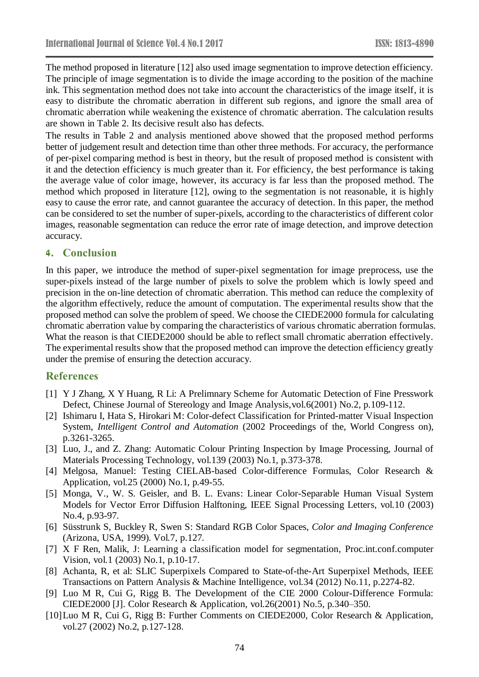The method proposed in literature [12] also used image segmentation to improve detection efficiency. The principle of image segmentation is to divide the image according to the position of the machine ink. This segmentation method does not take into account the characteristics of the image itself, it is easy to distribute the chromatic aberration in different sub regions, and ignore the small area of chromatic aberration while weakening the existence of chromatic aberration. The calculation results are shown in Table 2. Its decisive result also has defects.

The results in Table 2 and analysis mentioned above showed that the proposed method performs better of judgement result and detection time than other three methods. For accuracy, the performance of per-pixel comparing method is best in theory, but the result of proposed method is consistent with it and the detection efficiency is much greater than it. For efficiency, the best performance is taking the average value of color image, however, its accuracy is far less than the proposed method. The method which proposed in literature [12], owing to the segmentation is not reasonable, it is highly easy to cause the error rate, and cannot guarantee the accuracy of detection. In this paper, the method can be considered to set the number of super-pixels, according to the characteristics of different color images, reasonable segmentation can reduce the error rate of image detection, and improve detection accuracy.

## **4. Conclusion**

In this paper, we introduce the method of super-pixel segmentation for image preprocess, use the super-pixels instead of the large number of pixels to solve the problem which is lowly speed and precision in the on-line detection of chromatic aberration. This method can reduce the complexity of the algorithm effectively, reduce the amount of computation. The experimental results show that the proposed method can solve the problem of speed. We choose the CIEDE2000 formula for calculating chromatic aberration value by comparing the characteristics of various chromatic aberration formulas. What the reason is that CIEDE2000 should be able to reflect small chromatic aberration effectively. The experimental results show that the proposed method can improve the detection efficiency greatly under the premise of ensuring the detection accuracy.

## **References**

- [1] Y J Zhang, X Y Huang, R Li: A Prelimnary Scheme for Automatic Detection of Fine Presswork Defect, Chinese Journal of Stereology and Image Analysis,vol.6(2001) No.2, p.109-112.
- [2] Ishimaru I, Hata S, Hirokari M: Color-defect Classification for Printed-matter Visual Inspection System, *Intelligent Control and Automation* (2002 Proceedings of the, World Congress on), p.3261-3265.
- [3] Luo, J., and Z. Zhang: Automatic Colour Printing Inspection by Image Processing, Journal of Materials Processing Technology, vol.139 (2003) No.1, p.373-378.
- [4] Melgosa, Manuel: Testing CIELAB-based Color-difference Formulas, Color Research & Application, vol.25 (2000) No.1, p.49-55.
- [5] Monga, V., W. S. Geisler, and B. L. Evans: Linear Color-Separable Human Visual System Models for Vector Error Diffusion Halftoning, IEEE Signal Processing Letters, vol.10 (2003) No.4, p.93-97.
- [6] Süsstrunk S, Buckley R, Swen S: Standard RGB Color Spaces, *Color and Imaging Conference* (Arizona, USA, 1999). Vol.7, p.127.
- [7] X F Ren, Malik, J: Learning a classification model for segmentation, Proc.int.conf.computer Vision, vol.1 (2003) No.1, p.10-17.
- [8] Achanta, R, et al: SLIC Superpixels Compared to State-of-the-Art Superpixel Methods, IEEE Transactions on Pattern Analysis & Machine Intelligence, vol.34 (2012) No.11, p.2274-82.
- [9] Luo M R, Cui G, Rigg B. The Development of the CIE 2000 Colour-Difference Formula: CIEDE2000 [J]. Color Research & Application, vol.26(2001) No.5, p.340–350.
- [10]Luo M R, Cui G, Rigg B: Further Comments on CIEDE2000, Color Research & Application, vol.27 (2002) No.2, p.127-128.